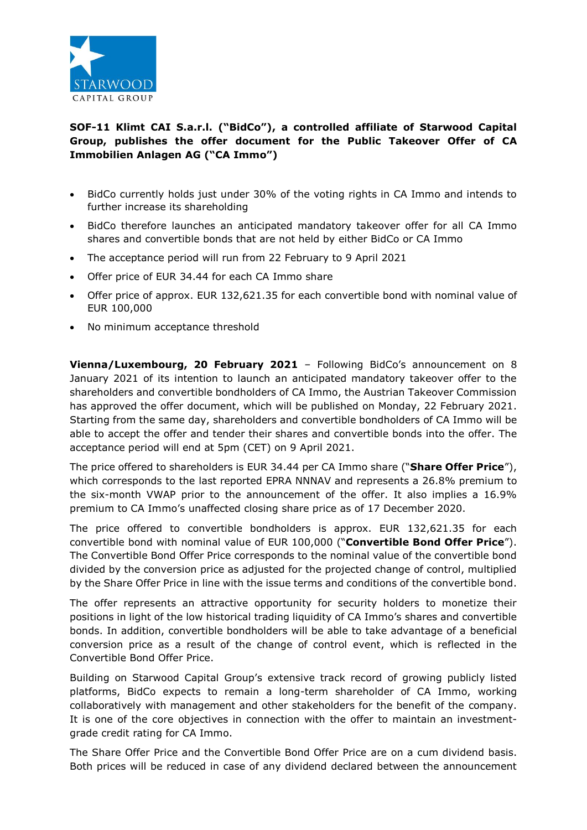

## **SOF-11 Klimt CAI S.a.r.l. ("BidCo"), a controlled affiliate of Starwood Capital Group, publishes the offer document for the Public Takeover Offer of CA Immobilien Anlagen AG ("CA Immo")**

- BidCo currently holds just under 30% of the voting rights in CA Immo and intends to further increase its shareholding
- BidCo therefore launches an anticipated mandatory takeover offer for all CA Immo shares and convertible bonds that are not held by either BidCo or CA Immo
- The acceptance period will run from 22 February to 9 April 2021
- Offer price of EUR 34.44 for each CA Immo share
- Offer price of approx. EUR 132,621.35 for each convertible bond with nominal value of EUR 100,000
- No minimum acceptance threshold

**Vienna/Luxembourg, 20 February 2021** – Following BidCo's announcement on 8 January 2021 of its intention to launch an anticipated mandatory takeover offer to the shareholders and convertible bondholders of CA Immo, the Austrian Takeover Commission has approved the offer document, which will be published on Monday, 22 February 2021. Starting from the same day, shareholders and convertible bondholders of CA Immo will be able to accept the offer and tender their shares and convertible bonds into the offer. The acceptance period will end at 5pm (CET) on 9 April 2021.

The price offered to shareholders is EUR 34.44 per CA Immo share ("**Share Offer Price**"), which corresponds to the last reported EPRA NNNAV and represents a 26.8% premium to the six-month VWAP prior to the announcement of the offer. It also implies a 16.9% premium to CA Immo's unaffected closing share price as of 17 December 2020.

The price offered to convertible bondholders is approx. EUR 132,621.35 for each convertible bond with nominal value of EUR 100,000 ("**Convertible Bond Offer Price**"). The Convertible Bond Offer Price corresponds to the nominal value of the convertible bond divided by the conversion price as adjusted for the projected change of control, multiplied by the Share Offer Price in line with the issue terms and conditions of the convertible bond.

The offer represents an attractive opportunity for security holders to monetize their positions in light of the low historical trading liquidity of CA Immo's shares and convertible bonds. In addition, convertible bondholders will be able to take advantage of a beneficial conversion price as a result of the change of control event, which is reflected in the Convertible Bond Offer Price.

Building on Starwood Capital Group's extensive track record of growing publicly listed platforms, BidCo expects to remain a long-term shareholder of CA Immo, working collaboratively with management and other stakeholders for the benefit of the company. It is one of the core objectives in connection with the offer to maintain an investmentgrade credit rating for CA Immo.

The Share Offer Price and the Convertible Bond Offer Price are on a cum dividend basis. Both prices will be reduced in case of any dividend declared between the announcement